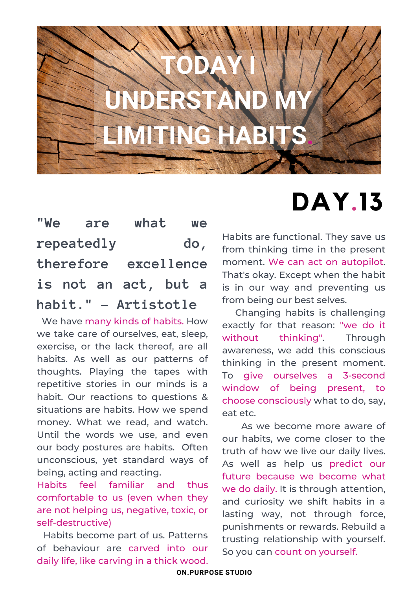

### **"We are what we repeatedly do, therefore excellence is not an act, but a habit." - Artistotle**

We have many kinds of habits. How we take care of ourselves, eat, sleep, exercise, or the lack thereof, are all habits. As well as our patterns of thoughts. Playing the tapes with repetitive stories in our minds is a habit. Our reactions to questions & situations are habits. How we spend money. What we read, and watch. Until the words we use, and even our body postures are habits. Often unconscious, yet standard ways of being, acting and reacting.

Habits feel familiar and thus comfortable to us (even when they are not helping us, negative, toxic, or self-destructive)

Habits become part of us. Patterns of behaviour are carved into our daily life, like carving in a thick wood.

# **DAY.13**

Habits are functional. They save us from thinking time in the present moment. We can act on autopilot. That's okay. Except when the habit is in our way and preventing us from being our best selves.

Changing habits is challenging exactly for that reason: "we do it without thinking". Through awareness, we add this conscious thinking in the present moment. To give ourselves a 3-second window of being present, to choose consciously what to do, say, eat etc.

As we become more aware of our habits, we come closer to the truth of how we live our daily lives. As well as help us predict our future because we become what we do daily. It is through attention, and curiosity we shift habits in a lasting way, not through force, punishments or rewards. Rebuild a trusting relationship with yourself. So you can count on yourself.